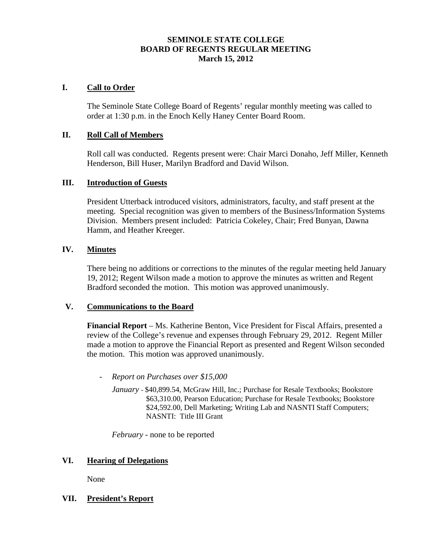# **SEMINOLE STATE COLLEGE BOARD OF REGENTS REGULAR MEETING March 15, 2012**

## **I. Call to Order**

The Seminole State College Board of Regents' regular monthly meeting was called to order at 1:30 p.m. in the Enoch Kelly Haney Center Board Room.

#### **II. Roll Call of Members**

Roll call was conducted. Regents present were: Chair Marci Donaho, Jeff Miller, Kenneth Henderson, Bill Huser, Marilyn Bradford and David Wilson.

#### **III. Introduction of Guests**

President Utterback introduced visitors, administrators, faculty, and staff present at the meeting. Special recognition was given to members of the Business/Information Systems Division. Members present included: Patricia Cokeley, Chair; Fred Bunyan, Dawna Hamm, and Heather Kreeger.

#### **IV. Minutes**

There being no additions or corrections to the minutes of the regular meeting held January 19, 2012; Regent Wilson made a motion to approve the minutes as written and Regent Bradford seconded the motion. This motion was approved unanimously.

#### **V. Communications to the Board**

**Financial Report** – Ms. Katherine Benton, Vice President for Fiscal Affairs, presented a review of the College's revenue and expenses through February 29, 2012. Regent Miller made a motion to approve the Financial Report as presented and Regent Wilson seconded the motion. This motion was approved unanimously.

- *Report on Purchases over \$15,000* 
	- *January* \$40,899.54, McGraw Hill, Inc.; Purchase for Resale Textbooks; Bookstore \$63,310.00, Pearson Education; Purchase for Resale Textbooks; Bookstore \$24,592.00, Dell Marketing; Writing Lab and NASNTI Staff Computers; NASNTI: Title III Grant

*February* - none to be reported

#### **VI. Hearing of Delegations**

None

## **VII. President's Report**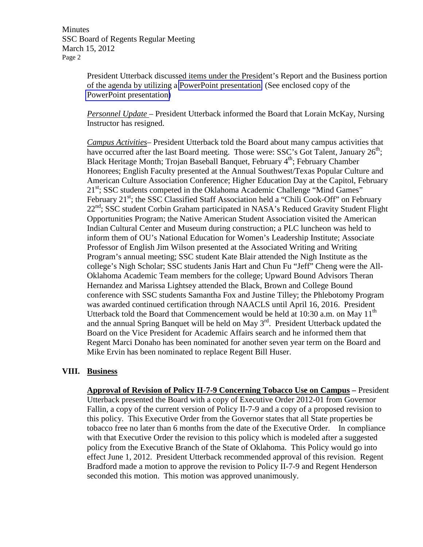**Minutes** SSC Board of Regents Regular Meeting March 15, 2012 Page 2

> President Utterback discussed items under the President's Report and the Business portion of the agenda by utilizing a PowerPoint presentation. (See enclosed copy of the PowerPoint presentation)

> *Personnel Update –* President Utterback informed the Board that Lorain McKay, Nursing Instructor has resigned.

*Campus Activities*– President Utterback told the Board about many campus activities that have occurred after the last Board meeting. Those were: SSC's Got Talent, January  $26<sup>th</sup>$ ; Black Heritage Month; Trojan Baseball Banquet, February 4<sup>th</sup>; February Chamber Honorees; English Faculty presented at the Annual Southwest/Texas Popular Culture and American Culture Association Conference; Higher Education Day at the Capitol, February 21<sup>st</sup>; SSC students competed in the Oklahoma Academic Challenge "Mind Games" February 21<sup>st</sup>; the SSC Classified Staff Association held a "Chili Cook-Off" on February  $22<sup>nd</sup>$ ; SSC student Corbin Graham participated in NASA's Reduced Gravity Student Flight Opportunities Program; the Native American Student Association visited the American Indian Cultural Center and Museum during construction; a PLC luncheon was held to inform them of OU's National Education for Women's Leadership Institute; Associate Professor of English Jim Wilson presented at the Associated Writing and Writing Program's annual meeting; SSC student Kate Blair attended the Nigh Institute as the college's Nigh Scholar; SSC students Janis Hart and Chun Fu "Jeff" Cheng were the All-Oklahoma Academic Team members for the college; Upward Bound Advisors Theran Hernandez and Marissa Lightsey attended the Black, Brown and College Bound conference with SSC students Samantha Fox and Justine Tilley; the Phlebotomy Program was awarded continued certification through NAACLS until April 16, 2016. President Utterback told the Board that Commencement would be held at  $10:30$  a.m. on May  $11<sup>th</sup>$ and the annual Spring Banquet will be held on May  $3<sup>rd</sup>$ . President Utterback updated the Board on the Vice President for Academic Affairs search and he informed them that Regent Marci Donaho has been nominated for another seven year term on the Board and Mike Ervin has been nominated to replace Regent Bill Huser.

#### **VIII. Business**

**Approval of Revision of Policy II-7-9 Concerning Tobacco Use on Campus –** President Utterback presented the Board with a copy of Executive Order 2012-01 from Governor Fallin, a copy of the current version of Policy II-7-9 and a copy of a proposed revision to this policy. This Executive Order from the Governor states that all State properties be tobacco free no later than 6 months from the date of the Executive Order. In compliance with that Executive Order the revision to this policy which is modeled after a suggested policy from the Executive Branch of the State of Oklahoma. This Policy would go into effect June 1, 2012. President Utterback recommended approval of this revision. Regent Bradford made a motion to approve the revision to Policy II-7-9 and Regent Henderson seconded this motion. This motion was approved unanimously.